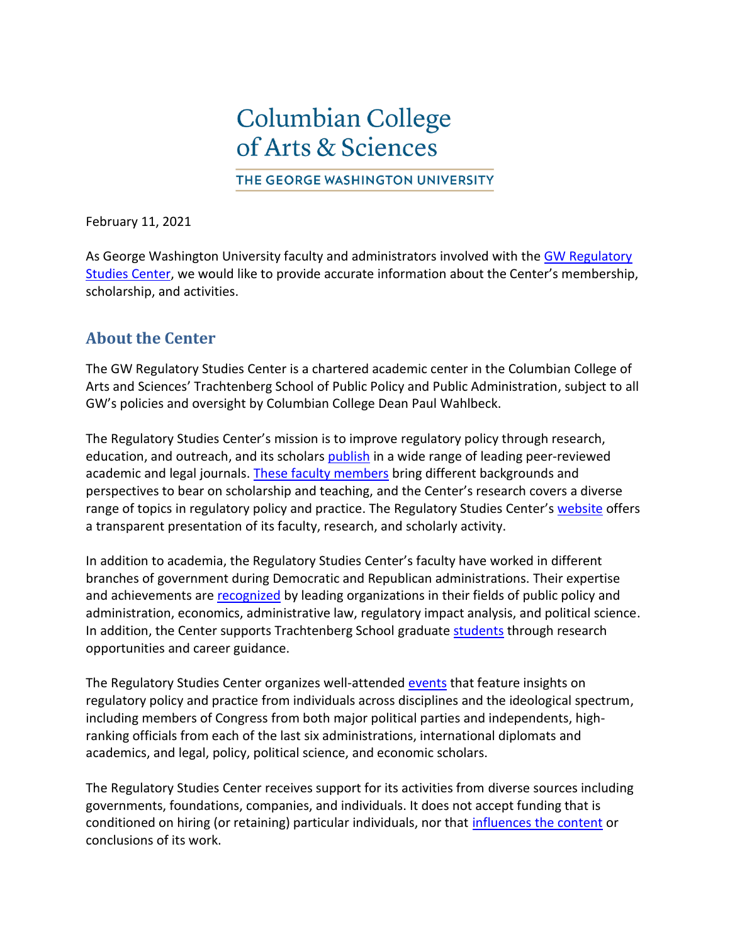## **Columbian College** of Arts & Sciences

THE GEORGE WASHINGTON UNIVERSITY

February 11, 2021

As George Washington University faculty and administrators involved with the [GW Regulatory](https://regulatorystudies.columbian.gwu.edu/)  [Studies Center,](https://regulatorystudies.columbian.gwu.edu/) we would like to provide accurate information about the Center's membership, scholarship, and activities.

## **About the Center**

The GW Regulatory Studies Center is a chartered academic center in the Columbian College of Arts and Sciences' Trachtenberg School of Public Policy and Public Administration, subject to all GW's policies and oversight by Columbian College Dean Paul Wahlbeck.

The Regulatory Studies Center's mission is to improve regulatory policy through research, education, and outreach, and its scholars [publish](https://regulatorystudies.columbian.gwu.edu/journal-articles-working-papers) in a wide range of leading peer-reviewed academic and legal journals. These [faculty](https://regulatorystudies.columbian.gwu.edu/our-team) members bring different backgrounds and perspectives to bear on scholarship and teaching, and the Center's research covers a diverse range of topics in regulatory policy and practice. The Regulatory Studies Center's [website](https://regulatorystudies.columbian.gwu.edu/) offers a transparent presentation of its faculty, research, and scholarly activity.

In addition to academia, the Regulatory Studies Center's faculty have worked in different branches of government during Democratic and Republican administrations. Their expertise and achievements are [recognized](https://vimeo.com/386118587) by leading organizations in their fields of public policy and administration, economics, administrative law, regulatory impact analysis, and political science. In addition, the Center supports Trachtenberg School graduate [students](https://regulatorystudies.columbian.gwu.edu/student-development) through research opportunities and career guidance.

The Regulatory Studies Center organizes well-attended [events](https://regulatorystudies.columbian.gwu.edu/news-and-events#tab1582215730857_2) that feature insights on regulatory policy and practice from individuals across disciplines and the ideological spectrum, including members of Congress from both major political parties and independents, highranking officials from each of the last six administrations, international diplomats and academics, and legal, policy, political science, and economic scholars.

The Regulatory Studies Center receives support for its activities from diverse sources including governments, foundations, companies, and individuals. It does not accept funding that is conditioned on hiring (or retaining) particular individuals, nor that [influences the content](https://www.gwhatchet.com/2020/02/18/in-support-of-the-regulatory-studies-center/) or conclusions of its work.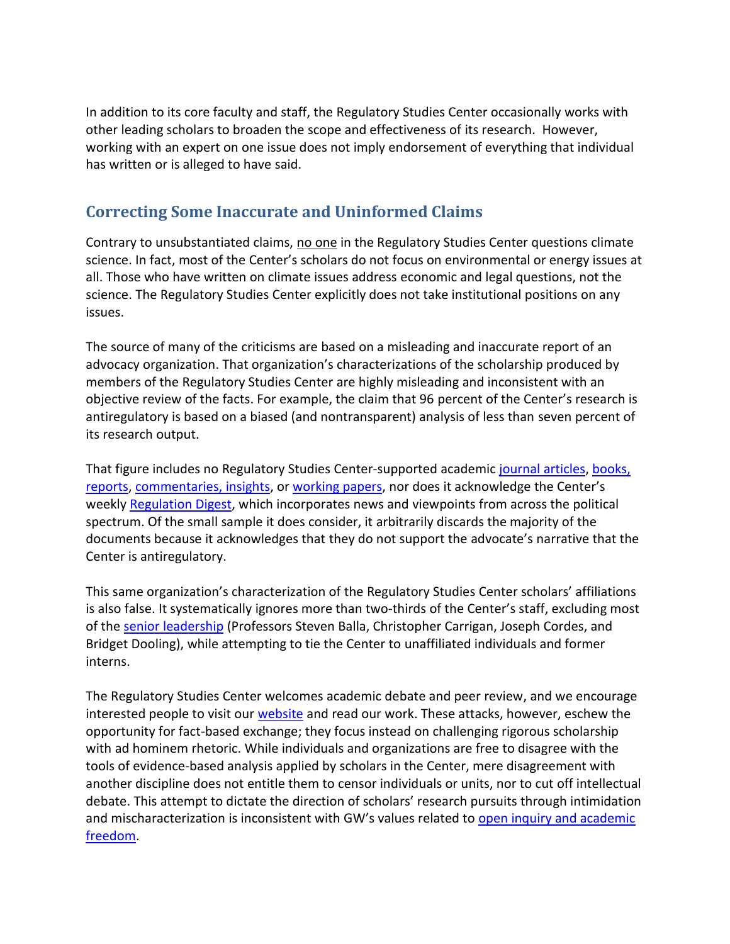In addition to its core faculty and staff, the Regulatory Studies Center occasionally works with other leading scholars to broaden the scope and effectiveness of its research. However, working with an expert on one issue does not imply endorsement of everything that individual has written or is alleged to have said.

## **Correcting Some Inaccurate and Uninformed Claims**

Contrary to unsubstantiated claims, no one in the Regulatory Studies Center questions climate science. In fact, most of the Center's scholars do not focus on environmental or energy issues at all. Those who have written on climate issues address economic and legal questions, not the science. The Regulatory Studies Center explicitly does not take institutional positions on any issues.

The source of many of the criticisms are based on a misleading and inaccurate report of an advocacy organization. That organization's characterizations of the scholarship produced by members of the Regulatory Studies Center are highly misleading and inconsistent with an objective review of the facts. For example, the claim that 96 percent of the Center's research is antiregulatory is based on a biased (and nontransparent) analysis of less than seven percent of its research output.

That figure includes no Regulatory Studies Center-supported academi[c journal](https://regulatorystudies.columbian.gwu.edu/journal-articles-working-papers) articles, books, [reports,](https://regulatorystudies.columbian.gwu.edu/books-reports) [commentaries,](https://regulatorystudies.columbian.gwu.edu/commentaries-insights) insights, or [working papers](https://regulatorystudies.columbian.gwu.edu/journal-articles-working-papers), nor does it acknowledge the Center's weekly [Regulation Digest,](https://regulatorystudies.columbian.gwu.edu/newsletters) which incorporates news and viewpoints from across the political spectrum. Of the small sample it does consider, it arbitrarily discards the majority of the documents because it acknowledges that they do not support the advocate's narrative that the Center is antiregulatory.

This same organization's characterization of the Regulatory Studies Center scholars' affiliations is also false. It systematically ignores more than two-thirds of the Center's staff, excluding most of th[e senior leadership](https://regulatorystudies.columbian.gwu.edu/our-team) (Professors Steven Balla, Christopher Carrigan, Joseph Cordes, and Bridget Dooling), while attempting to tie the Center to unaffiliated individuals and former interns.

The Regulatory Studies Center welcomes academic debate and peer review, and we encourage interested people to visit our [website](https://regulatorystudies.columbian.gwu.edu/) and read our work. These attacks, however, eschew the opportunity for fact-based exchange; they focus instead on challenging rigorous scholarship with ad hominem rhetoric. While individuals and organizations are free to disagree with the tools of evidence-based analysis applied by scholars in the Center, mere disagreement with another discipline does not entitle them to censor individuals or units, nor to cut off intellectual debate. This attempt to dictate the direction of scholars' research pursuits through intimidation and mischaracterization is inconsistent with GW's values related to open inquiry and academic [freedom.](https://provost.gwu.edu/sites/g/files/zaxdzs626/f/downloads/Resources/Academic%20Freedom%20Guidelines.pdf)